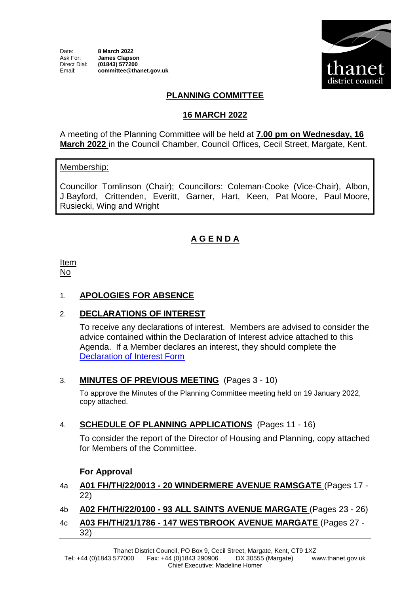

# **PLANNING COMMITTEE**

### **16 MARCH 2022**

A meeting of the Planning Committee will be held at **7.00 pm on Wednesday, 16 March 2022** in the Council Chamber, Council Offices, Cecil Street, Margate, Kent.

#### Membership:

Councillor Tomlinson (Chair); Councillors: Coleman-Cooke (Vice-Chair), Albon, J Bayford, Crittenden, Everitt, Garner, Hart, Keen, Pat Moore, Paul Moore, Rusiecki, Wing and Wright

# **A G E N D A**

Item No

### 1. **APOLOGIES FOR ABSENCE**

## 2. **DECLARATIONS OF INTEREST**

To receive any declarations of interest. Members are advised to consider the advice contained within the Declaration of Interest advice attached to this Agenda. If a Member declares an interest, they should complete the [Declaration of Interest Form](https://docs.google.com/forms/d/e/1FAIpQLSdYy7shF1kh6tvdSh3acxVRm70cKPLFkRBFNyVx2TgejRcm4w/viewform?usp=sf_link) 

#### 3. **MINUTES OF PREVIOUS MEETING** (Pages 3 - 10)

To approve the Minutes of the Planning Committee meeting held on 19 January 2022, copy attached.

## 4. **SCHEDULE OF PLANNING APPLICATIONS** (Pages 11 - 16)

To consider the report of the Director of Housing and Planning, copy attached for Members of the Committee.

#### **For Approval**

#### 4a **A01 FH/TH/22/0013 - 20 WINDERMERE AVENUE RAMSGATE** (Pages 17 - 22)

## 4b **A02 FH/TH/22/0100 - 93 ALL SAINTS AVENUE MARGATE** (Pages 23 - 26)

4c **A03 FH/TH/21/1786 - 147 WESTBROOK AVENUE MARGATE** (Pages 27 - 32)